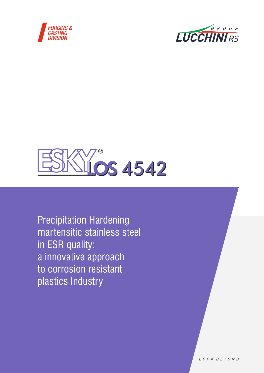





Precipitation Hardening martensitic stainless steel in ESR quality: a innovative approach to corrosion resistant plastics Industry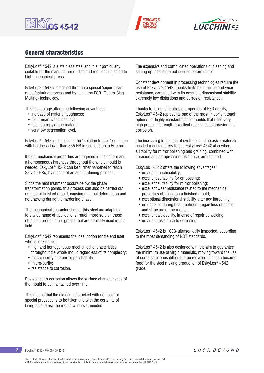





## General characteristics

EskyLos® 4542 is a stainless steel and it is it particularly suitable for the manufacture of dies and moulds subjected to high mechanical stress.

EskyLos® 4542 is obtained through a special 'super clean' manufacturing process and by using the ESR (Electro-Slag-Melting) technology.

This technology offers the following advantages:

- increase of material toughness;
- high micro-cleanness level;
- total isotropy of the material;
- very low segregation level.

EskyLos® 4542 is supplied in the "solution treated" condition with hardness lower than 355 HB in sections up to 500 mm.

If high mechanical properties are required in the pattern and a homogeneous hardness throughout the whole mould is needed, EskyLos® 4542 can be further hardened to reach  $28 \div 40$  HRc, by means of an age hardening process.

Since the heat treatment occurs below the phase transformation points, this process can also be carried out on a semi-finished mould, causing minimal deformation and no cracking during the hardening phase.

The mechanical characteristics of this steel are adaptable to a wide range of applications, much more so than those obtained through other grades that are normally used in this field.

EskyLos® 4542 represents the ideal option for the end user who is looking for:

- high and homogeneous mechanical characteristics throughout the whole mould regardless of its complexity;
- machinability and mirror polishability;
- micro-purity;
- resistance to corrosion.

Resistance to corrosion allows the surface characteristics of the mould to be maintained over time.

This means that the die can be stocked with no need for special precautions to be taken and with the certainty of being able to use the mould whenever needed.

The expensive and complicated operations of cleaning and setting up the die are not needed before usage.

Constant development in processing technologies require the use of EskyLos® 4542, thanks to its high fatigue and wear resistance, combined with its excellent dimensional stability, extremely low distortions and corrosion resistance.

Thanks to its quasi-isotropic properties of ESR quality, EskyLos® 4542 represents one of the most important tough options for highly resistant plastic moulds that need very high pressure strength, excellent resistance to abrasion and corrosion.

The increasing in the use of synthetic and abrasive materials has led manufacturers to use EskyLos<sup>®</sup> 4542 also when suitability for mirror polishing and graining, combined with abrasion and compression resistance, are required.

EskyLos® 4542 offers the following advantages:

- excellent machinability;
- excellent suitability for embossing;
- excellent suitability for mirror polishing;
- excellent wear resistance related to the mechanical properties obtained on a finished mould;
- exceptional dimensional stability after age hardening;
- no cracking during heat treatment, regardless of shape and structure of the mould;
- excellent weldability, in case of repair by welding;
- excellent resistance to corrosion.

EskyLos® 4542 is 100% ultrasonically inspected, according to the most demanding of NDT standards.

EskyLos® 4542 is also designed with the aim to guarantee the minimum use of virgin materials, moving toward the use of scrap categories difficult to be recycled, that can became food for the steel making production of EskyLos® 4542 grade.

The content of this brochure is intended for information only and cannot be considered as binding in connection with the supply of material. All information, except for the cases of law, are strictly confidential and can only be disclosed with permission of Lucchini RS S.p.A.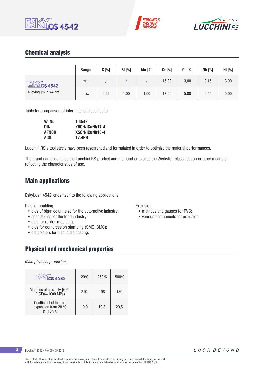





# Chemical analysis

|                        | Range | $C[\%]$ | Si [%] | Mn $[%]$ | Cr [%] | $Cu$ [%] | Nb [%] | Ni [%] |
|------------------------|-------|---------|--------|----------|--------|----------|--------|--------|
| ESKY.<br>$M$ los 4542  | min   |         |        |          | 15,00  | 3,00     | 0,15   | 3,00   |
| Alloying [% in weight] | max   | 0,08    | ,00    | 1,00     | 17,00  | 5,00     | 0,45   | 5,00   |

Table for comparison of international classification

| W. Nr.       | 1.4542         |
|--------------|----------------|
| DIN          | X5CrNiCuNb17-4 |
| <b>AFNOR</b> | X5CrNiCuNb16-4 |
| AISI         | 17.4PH         |

Lucchini RS's tool steels have been researched and formulated in order to optimize the material performances.

The brand name identifies the Lucchini RS product and the number evokes the Werkstoff classification or other means of reflecting the characteristics of use.

### Main applications

EskyLos® 4542 lends itself to the following applications.

Plastic moulding:

- dies of big/medium size for the automotive industry;
- special dies for the food industry;
- dies for rubber moulding;
- dies for compression stamping (SMC, BMC);
- die bolsters for plastic die casting;

## Physical and mechanical properties

### *Main physical properties*

| <b>S4542</b>                                                  | $20^{\circ}$ C | $250^\circ C$ | $500^{\circ}$ C |
|---------------------------------------------------------------|----------------|---------------|-----------------|
| Modulus of elasticity [GPa]<br>(1GPa=1000 MPa)                | 210            | 198           | 180             |
| Coefficient of thermal<br>expansion from 20 °C<br>at [10-6/K] | 19.0           | 19.8          | 20.5            |

Extrusion:

- matrices and gauges for PVC;
- various components for extrusion.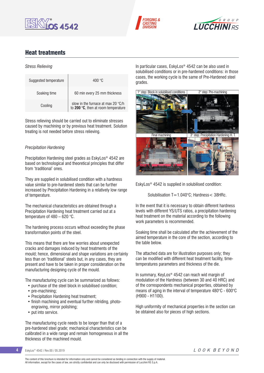





## Heat treatments

### *Stress Relieving*

| Suggested temperature | 400 $^{\circ}$ C                                                          |
|-----------------------|---------------------------------------------------------------------------|
| Soaking time          | 60 min every 25 mm thickness                                              |
| Cooling               | slow in the furnace at max 20 °C/h<br>to 200 °C, then at room temperature |

Stress relieving should be carried out to eliminate stresses caused by machining or by previous heat treatment. Solution treating is not needed before stress relieving.

### *Precipitation Hardening*

Precipitation Hardening steel grades as EskyLos® 4542 are based on technological and theoretical principles that differ from 'traditional' ones.

They are supplied in solubilised condition with a hardness value similar to pre-hardened steels that can be further increased by Precipitation Hardening in a relatively low range of temperature.

The mechanical characteristics are obtained through a Precipitation Hardening heat treatment carried out at a temperature of 480 – 620 °C.

The hardening process occurs without exceeding the phase transformation points of the steel.

This means that there are few worries about unexpected cracks and damages induced by heat treatments of the mould; hence, dimensional and shape variations are certainly less than on 'traditional' steels but, in any cases, they are present and have to be taken in proper consideration on the manufacturing designing cycle of the mould.

The manufacturing cycle can be summarized as follows:

- purchase of the steel block in solubilised condition;
- pre-machining:
- Precipitation Hardening heat treatment;
- finish machining and eventual further nitriding, photoengraving, mirror polishing;
- put into service.

The manufacturing cycle needs to be longer than that of a pre-hardened steel grade; mechanical characteristics can be calibrated in a wide range and remain homogeneous in all the thickness of the machined mould.

In particular cases, EskyLos® 4542 can be also used in solubilised conditions or in pre-hardened conditions: in those cases, the working cycle is the same of Pre-Hardened steel grades.



EskyLos® 4542 is supplied in solubilised condition:

Solubilisation T=1.040°C; Hardness< 38HRc.

In the event that it is necessary to obtain different hardness levels with different YS/UTS ratios, a precipitation hardening heat treatment on the material according to the following work parameters is recommended.

Soaking time shall be calculated after the achievement of the aimed temperature in the core of the section, according to the table below.

The attached data are for illustration purposes only; they can be modified with different heat treatment facility, timetemperatures parameters and thickness of the die.

In summary, KeyLos® 4542 can reach wid margin of modulation of the Hardness (between 30 and 40 HRC) and of the correspondents mechanical properties, obtained by means of aging in the interval of temperature 480°C - 600°C (H900 - H1100).

High uniformity of mechanical properties in the section can be obtained also for pieces of high sections.

### **4** EskyLos® 4542 / Rev.00 / 05.2019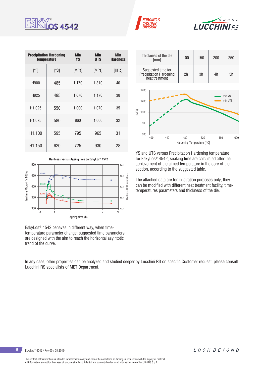

| <b>Precipitation Hardening</b><br><b>Temperature</b> |      | <b>Min</b><br><b>YS</b> | <b>Min</b><br><b>UTS</b> | <b>Min</b><br><b>Hardness</b> |
|------------------------------------------------------|------|-------------------------|--------------------------|-------------------------------|
| [°F]                                                 | [°C] | [MPa]                   | [MPa]                    | [HRc]                         |
| H900                                                 | 485  | 1.170                   | 1.310                    | 40                            |
| H925                                                 | 495  | 1.070                   | 1.170                    | 38                            |
| H1.025                                               | 550  | 1.000                   | 1.070                    | 35                            |
| H <sub>1.075</sub>                                   | 580  | 860                     | 1.000                    | 32                            |
| H1.100                                               | 595  | 795                     | 965                      | 31                            |
| H <sub>1.150</sub>                                   | 620  | 725                     | 930                      | 28                            |





EskyLos® 4542 behaves in different way, when timetemperature parameter change; suggested time parameters are designed with the aim to reach the horizontal asyintotic trend of the curve.

In any case, other properties can be analyzed and studied deeper by Lucchini RS on specific Customer request: please consult Lucchini RS specialists of MET Department.



**FORGING &** 

**ASTING DIVISIOI** 

 $6 R O U P$ 

**LUCCHINIRS** 

YS and UTS versus Precipitation Hardening temperature for EskyLos® 4542; soaking time are calculated after the achievement of the aimed temperature in the core of the section, according to the suggested table.

The attached data are for illustration purposes only; they can be modified with different heat treatment facility, timetemperatures parameters and thickness of the die.

The content of this brochure is intended for information only and cannot be considered as binding in connection with the supply of material. All information, except for the cases of law, are strictly confidential and can only be disclosed with permission of Lucchini RS S.p.A.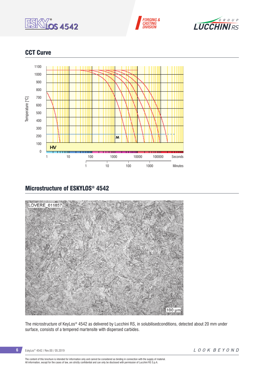





# CCT Curve



# Microstructure of ESKYLOS® 4542



The microstructure of KeyLos® 4542 as delivered by Lucchini RS, in solubilisedconditions, detected about 20 mm under surface, consists of a tempered martensite with dispersed carbides.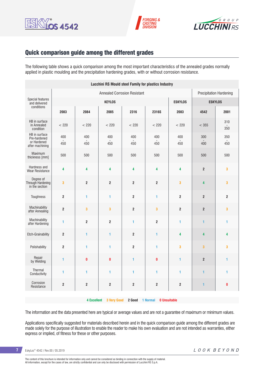





## Quick comparison guide among the different grades

The following table shows a quick comparison among the most important characteristics of the annealed grades normally applied in plastic moulding and the precipitation hardening grades, with or without corrosion resistance.

| <b>Lucchini RS Mould steel Family for plastics Industry</b>     |                         |                         |                         |                                |                         |                         |                         |                         |  |
|-----------------------------------------------------------------|-------------------------|-------------------------|-------------------------|--------------------------------|-------------------------|-------------------------|-------------------------|-------------------------|--|
|                                                                 |                         |                         |                         | <b>Precipitation Hardening</b> |                         |                         |                         |                         |  |
| Special features<br>and delivered                               |                         |                         | <b>KEYLOS</b>           |                                |                         | <b>ESKYLOS</b>          | <b>ESKYLOS</b>          |                         |  |
| conditions                                                      | 2083                    | 2084                    | 2085                    | 2316                           | 2316S                   | 2083                    | 4542                    | 2001                    |  |
| HB in surface<br>in Annealed<br>condition                       | < 220                   | < 220                   | < 220                   | < 220                          | < 220                   | < 220                   | < 355                   | 310<br>350              |  |
| HB in surface<br>Pre-hardened<br>or Hardened<br>after machining | 400<br>450              | 400<br>450              | 400<br>450              | 400<br>450                     | 400<br>450              | 400<br>450              | 300<br>400              | 350<br>450              |  |
| Maximum<br>thickness [mm]                                       | 500                     | 500                     | 500                     | 500                            | 500                     | 500                     | 500                     | 500                     |  |
| Hardness and<br>Wear Resistance                                 | 4                       | 4                       | 4                       | 4                              | 4                       | 4                       | $\overline{2}$          | 3                       |  |
| Degree of<br>Through Hardening<br>in the section                | $\overline{\mathbf{3}}$ | $\overline{2}$          | $\overline{2}$          | $\overline{2}$                 | $\overline{\mathbf{2}}$ | 3                       | 4                       | 3                       |  |
| Toughness                                                       | $\mathbf 2$             | $\blacksquare$          | $\blacksquare$          | $\overline{\mathbf{2}}$        | 1                       | $\overline{\mathbf{2}}$ | $\overline{2}$          | $\overline{\mathbf{c}}$ |  |
| Machinability<br>after Annealing                                | $\mathbf 2$             | 3                       | $\overline{\mathbf{3}}$ | $\overline{\mathbf{2}}$        | 3                       | $\overline{2}$          | $\mathbf 2$             | 3                       |  |
| Machinability<br>after Hardening                                | $\mathbf{1}$            | $\overline{\mathbf{2}}$ | $\overline{2}$          | 1                              | 2                       | 1                       | $\mathbf{1}$            | 1                       |  |
| Etch-Grainability                                               | $\mathbf 2$             | 1                       | 1                       | $\overline{\mathbf{2}}$        | 1                       | 4                       | 4                       | 4                       |  |
| Polishability                                                   | $\mathbf 2$             | $\blacksquare$          | 1                       | $\overline{\mathbf{2}}$        | $\blacksquare$          | 3                       | $\overline{\mathbf{3}}$ | 3                       |  |
| Repair<br>by Welding                                            | 1                       | $\mathbf 0$             | $\bf{0}$                | 1                              | 0                       | 1                       | $\boldsymbol{2}$        | 1                       |  |
| Thermal<br>Conductivity                                         | $\mathbf{1}$            | 1                       | $\blacksquare$          | 1                              | 1                       | 1                       | $\mathbf{1}$            | 1                       |  |
| Corrosion<br>Resistance                                         | $\overline{\mathbf{2}}$ | $\overline{\mathbf{c}}$ | $\overline{\mathbf{c}}$ | $\overline{\mathbf{2}}$        | $\overline{\mathbf{2}}$ | $\mathbf 2$             | $\mathbf{1}$            | $\pmb{0}$               |  |
|                                                                 |                         |                         |                         |                                |                         |                         |                         |                         |  |

**4 Excellent 3 Very Good 2 Good 1 Normal 0 Unsuitable**

The information and the data presented here are typical or average values and are not a guarantee of maximum or minimum values.

Applications specifically suggested for materials described herein and in the quick comparison guide among the different grades are made solely for the purpose of illustration to enable the reader to make his own evaluation and are not intended as warranties, either express or implied, of fitness for these or other purposes.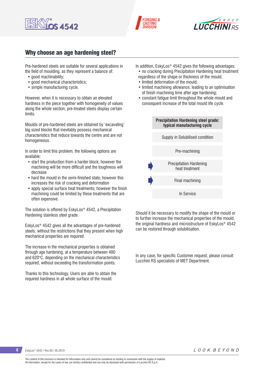





## Why choose an age hardening steel?

Pre-hardened steels are suitable for several applications in the field of moulding, as they represent a balance of:

- good machinability:
- good mechanical characteristics:
- simple manufacturing cycle.

However, when it is necessary to obtain an elevated hardness in the piece together with homogeneity of values along the whole section, pre-treated steels display certain limits.

Moulds of pre-hardened steels are obtained by 'excavating' big sized blocks that inevitably possess mechanical characteristics that reduce towards the centre and are not homogeneous.

In order to limit this problem, the following options are available:

- start the production from a harder block; however the machining will be more difficult and the toughness will decrease
- hard the mould in the semi-finished state; however this increases the risk of cracking and deformation
- apply special surface heat treatments; however the finish machining could be limited by these treatments that are often expensive.

The solution is offered by EskyLos® 4542, a Precipitation Hardening stainless steel grade.

EskyLos® 4542 gives all the advantages of pre-hardened steels, without the restrictions that they present when high mechanical properties are required.

The increase in the mechanical properties is obtained through age hardening, at a temperature between 480 and 620°C, depending on the mechanical characteristics required, without exceeding the transformation points.

Thanks to this technology, Users are able to obtain the required hardness in all whole surface of the mould.

In addition, EskyLos® 4542 gives the following advantages:

- no cracking during Precipitation Hardening heat treatment regardless of the shape or thickness of the mould;
- limited deformation of the mould;
- limited machining allowance, leading to an optimisation of finish machining time after age hardening;
- constant fatigue limit throughout the whole mould and consequent increase of the total mould life cycle.



Should it be necessary to modify the shape of the mould or to further increase the mechanical properties of the mould, the original hardness and microstructure of EskyLos® 4542 can be restored through solubilisation.

In any case, for specific Customer request, please consult Lucchini RS specialists of MET Department.

**8** EskyLos<sup>®</sup> 4542 / Rev.00 / 05.2019

The content of this brochure is intended for information only and cannot be considered as binding in connection with the supply of material. All information, except for the cases of law, are strictly confidential and can only be disclosed with permission of Lucchini RS S.p.A.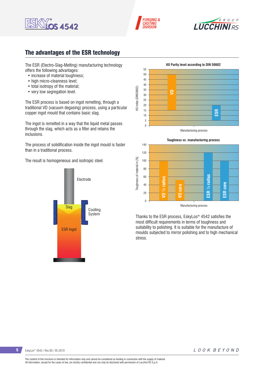





## The advantages of the ESR technology

The ESR (Electro-Slag-Melting) manufacturing technology offers the following advantages:

- increase of material toughness:
- high micro-cleanness level;
- total isotropy of the material;
- very low segregation level.

The ESR process is based on ingot remelting, through a traditional VD (vacuum degasing) process, using a particular copper ingot mould that contains basic slag.

The ingot is remelted in a way that the liquid metal passes through the slag, which acts as a filter and retains the inclusions.

The process of solidification inside the ingot mould is faster than in a traditional process.

The result is homogeneous and isotropic steel.







Thanks to the ESR process, EskyLos® 4542 satisfies the most difficult requirements in terms of toughness and suitability to polishing. It is suitable for the manufacture of moulds subjected to mirror polishing and to high mechanical stress.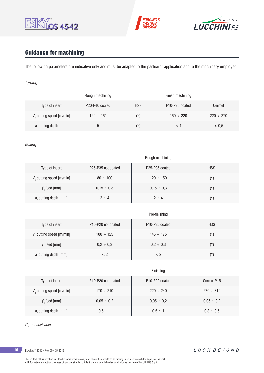





# Guidance for machining

The following parameters are indicative only and must be adapted to the particular application and to the machinery employed.

### *Turning*

|                                      | Rough machining | Finish machining |                                         |                |  |  |
|--------------------------------------|-----------------|------------------|-----------------------------------------|----------------|--|--|
| Type of insert                       | P20-P40 coated  | <b>HSS</b>       | P <sub>10</sub> -P <sub>20</sub> coated | Cermet         |  |  |
| V <sub>c</sub> cutting speed [m/min] | $120 \div 160$  | (*)              | $160 \div 220$                          | $220 \div 270$ |  |  |
| a, cutting depth [mm]                |                 | (*`              |                                         | < 0.5          |  |  |

### *Milling*

|                                   | Rough machining    |                 |            |  |  |  |
|-----------------------------------|--------------------|-----------------|------------|--|--|--|
| Type of insert                    | P25-P35 not coated | P25-P35 coated  | <b>HSS</b> |  |  |  |
| $V_c$ cutting speed [m/min]       | $80 \div 100$      | $120 \div 150$  | $(*)$      |  |  |  |
| $fz$ feed [mm]                    | $0,15 \div 0,3$    | $0,15 \div 0,3$ | $(\star)$  |  |  |  |
| a <sub>r</sub> cutting depth [mm] | $2 \div 4$         | $2 \div 4$      | $(\star)$  |  |  |  |
|                                   |                    |                 |            |  |  |  |
|                                   |                    | Pre-finishing   |            |  |  |  |
| Type of insert                    | P10-P20 not coated | P10-P20 coated  | <b>HSS</b> |  |  |  |
| $V_c$ cutting speed [m/min]       | $100 \div 125$     | $145 \div 175$  | $(\star)$  |  |  |  |
| $fz$ feed [mm]                    | $0,2 \div 0,3$     | $0,2 \div 0,3$  | $(\star)$  |  |  |  |
| a, cutting depth [mm]             | < 2                | < 2             | $(\star)$  |  |  |  |
|                                   |                    |                 |            |  |  |  |
|                                   |                    | Finishing       |            |  |  |  |

| Type of insert          | P <sub>10</sub> -P <sub>20</sub> not coated | P <sub>10</sub> -P <sub>20</sub> coated | Cermet P15      |
|-------------------------|---------------------------------------------|-----------------------------------------|-----------------|
| V cutting speed [m/min] | $170 \div 210$                              | $220 \div 240$                          | $270 \div 310$  |
| $f$ , feed [mm]         | $0,05 \div 0,2$                             | $0,05 \div 0,2$                         | $0,05 \div 0,2$ |
| a, cutting depth [mm]   | $0.5 \div 1$                                | $0.5 \div 1$                            | $0,3 \div 0,5$  |

*(\*) not advisable*

**10** EskyLos® 4542 / Rev.00 / 05.2019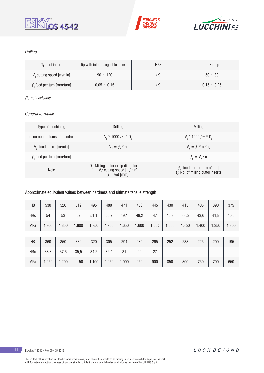





### *Drilling*

| Type of insert                       | tip with interchangeable inserts | <b>HSS</b> | brazed tip       |
|--------------------------------------|----------------------------------|------------|------------------|
| V <sub>c</sub> cutting speed [m/min] | $90 \div 120$                    | (*`        | $50 \div 80$     |
| $fz$ feed per turn [mm/turn]         | $0.05 \div 0.15$                 | (*`        | $0.15 \div 0.25$ |

### *(\*) not advisable*

### *General formulae*

| Type of machining             | Drilling                                                                                                 | Milling                                                                           |
|-------------------------------|----------------------------------------------------------------------------------------------------------|-----------------------------------------------------------------------------------|
| n: number of turns of mandrel | $V_r * 1000 / \pi * D_r$                                                                                 | $V_r * 1000 / \pi * D_c$                                                          |
| $V_f$ : feed speed [m/min]    | $V_{f} = f_{7}$ * n                                                                                      | $V_{f} = f_{i} * n * z_{n}$                                                       |
| $fz$ feed per turn [mm/turn]  | -                                                                                                        | $f_{n} = V_{f} / n$                                                               |
| <b>Note</b>                   | $D_c$ : Milling cutter or tip diameter [mm]<br>V <sub>c</sub> : cutting speed [m/min]<br>$f$ : feed [mm] | $f_n$ : feed per turn [mm/turn]<br>z <sub>a</sub> : No. of milling cutter inserts |

### Approximate equivalent values between hardness and ultimate tensile strength

| HB         | 530   | 520   | 512   | 495   | 480   | 471   | 458   | 445   | 430   | 415   | 405   | 390   | 375   |
|------------|-------|-------|-------|-------|-------|-------|-------|-------|-------|-------|-------|-------|-------|
| <b>HRc</b> | 54    | 53    | 52    | 51,1  | 50,2  | 49,1  | 48,2  | 47    | 45,9  | 44,5  | 43,6  | 41,8  | 40,5  |
| <b>MPa</b> | 1.900 | 1.850 | .800  | 1.750 | 1.700 | 1.650 | 1.600 | 1.550 | 1.500 | 1.450 | 1.400 | 1.350 | 1.300 |
|            |       |       |       |       |       |       |       |       |       |       |       |       |       |
| HB         | 360   | 350   | 330   | 320   | 305   | 294   | 284   | 265   | 252   | 238   | 225   | 209   | 195   |
| <b>HRc</b> | 38,8  | 37,6  | 35,5  | 34,2  | 32,4  | 31    | 29    | 27    | $- -$ | --    | --    | $- -$ | --    |
| <b>MPa</b> | 1.250 | 1.200 | 1.150 | 1.100 | 1.050 | 1.000 | 950   | 900   | 850   | 800   | 750   | 700   | 650   |